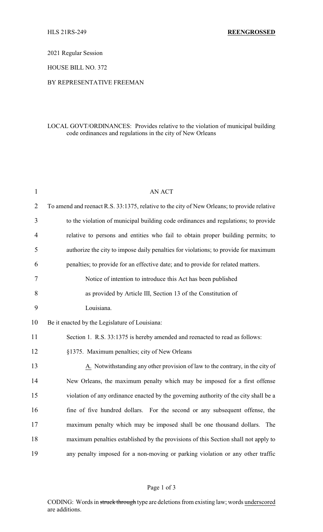2021 Regular Session

HOUSE BILL NO. 372

## BY REPRESENTATIVE FREEMAN

## LOCAL GOVT/ORDINANCES: Provides relative to the violation of municipal building code ordinances and regulations in the city of New Orleans

| $\mathbf{1}$   | <b>AN ACT</b>                                                                               |
|----------------|---------------------------------------------------------------------------------------------|
| $\overline{2}$ | To amend and reenact R.S. 33:1375, relative to the city of New Orleans; to provide relative |
| 3              | to the violation of municipal building code ordinances and regulations; to provide          |
| 4              | relative to persons and entities who fail to obtain proper building permits; to             |
| 5              | authorize the city to impose daily penalties for violations; to provide for maximum         |
| 6              | penalties; to provide for an effective date; and to provide for related matters.            |
| 7              | Notice of intention to introduce this Act has been published                                |
| 8              | as provided by Article III, Section 13 of the Constitution of                               |
| 9              | Louisiana.                                                                                  |
| 10             | Be it enacted by the Legislature of Louisiana:                                              |
| 11             | Section 1. R.S. 33:1375 is hereby amended and reenacted to read as follows:                 |
| 12             | §1375. Maximum penalties; city of New Orleans                                               |
| 13             | A. Notwithstanding any other provision of law to the contrary, in the city of               |
| 14             | New Orleans, the maximum penalty which may be imposed for a first offense                   |
| 15             | violation of any ordinance enacted by the governing authority of the city shall be a        |
| 16             | fine of five hundred dollars. For the second or any subsequent offense, the                 |
| 17             | maximum penalty which may be imposed shall be one thousand dollars. The                     |
| 18             | maximum penalties established by the provisions of this Section shall not apply to          |
| 19             | any penalty imposed for a non-moving or parking violation or any other traffic              |

## Page 1 of 3

CODING: Words in struck through type are deletions from existing law; words underscored are additions.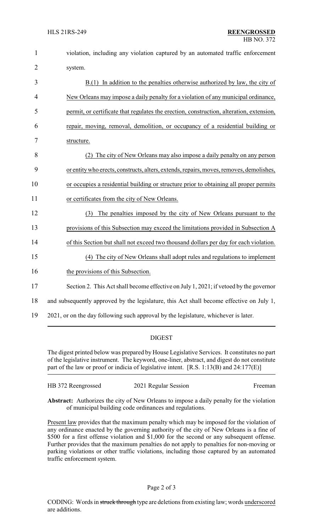| 1              | violation, including any violation captured by an automated traffic enforcement          |
|----------------|------------------------------------------------------------------------------------------|
| $\overline{2}$ | system.                                                                                  |
| 3              | $B(1)$ In addition to the penalties otherwise authorized by law, the city of             |
| $\overline{4}$ | New Orleans may impose a daily penalty for a violation of any municipal ordinance,       |
| 5              | permit, or certificate that regulates the erection, construction, alteration, extension, |
| 6              | repair, moving, removal, demolition, or occupancy of a residential building or           |
| 7              | structure.                                                                               |
| 8              | (2) The city of New Orleans may also impose a daily penalty on any person                |
| 9              | or entity who erects, constructs, alters, extends, repairs, moves, removes, demolishes,  |
| 10             | or occupies a residential building or structure prior to obtaining all proper permits    |
| 11             | or certificates from the city of New Orleans.                                            |
| 12             | The penalties imposed by the city of New Orleans pursuant to the<br>(3)                  |
| 13             | provisions of this Subsection may exceed the limitations provided in Subsection A        |
| 14             | of this Section but shall not exceed two thousand dollars per day for each violation.    |
| 15             | (4) The city of New Orleans shall adopt rules and regulations to implement               |
| 16             | the provisions of this Subsection.                                                       |
| 17             | Section 2. This Act shall become effective on July 1, 2021; if vetoed by the governor    |
| 18             | and subsequently approved by the legislature, this Act shall become effective on July 1, |
| 19             | 2021, or on the day following such approval by the legislature, whichever is later.      |

## DIGEST

The digest printed below was prepared by House Legislative Services. It constitutes no part of the legislative instrument. The keyword, one-liner, abstract, and digest do not constitute part of the law or proof or indicia of legislative intent. [R.S. 1:13(B) and 24:177(E)]

| Freeman |
|---------|
|         |

**Abstract:** Authorizes the city of New Orleans to impose a daily penalty for the violation of municipal building code ordinances and regulations.

Present law provides that the maximum penalty which may be imposed for the violation of any ordinance enacted by the governing authority of the city of New Orleans is a fine of \$500 for a first offense violation and \$1,000 for the second or any subsequent offense. Further provides that the maximum penalties do not apply to penalties for non-moving or parking violations or other traffic violations, including those captured by an automated traffic enforcement system.